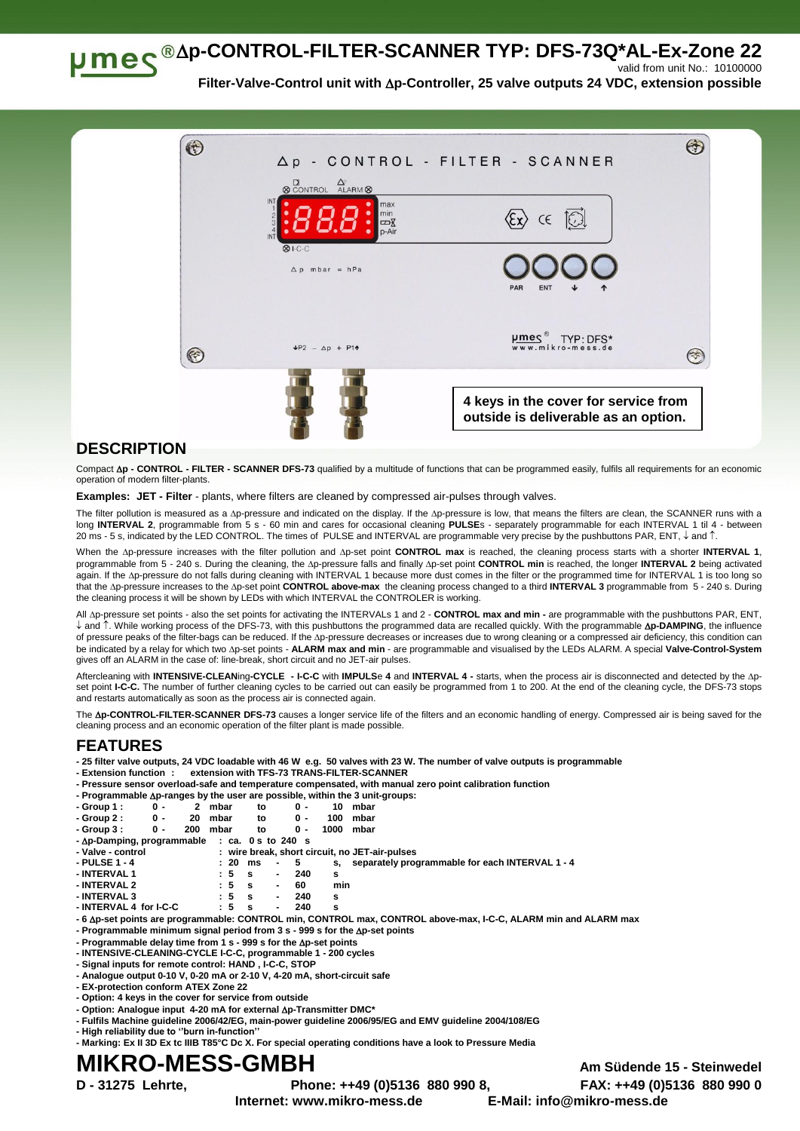**p-CONTROL-FILTER-SCANNER TYP: DFS-73Q\*AL-Ex-Zone 22** valid from unit No.: 10100000

**Filter-Valve-Control unit with p-Controller, 25 valve outputs 24 VDC, extension possible**



## **DESCRIPTION**

Compact **p - CONTROL - FILTER - SCANNER DFS-73** qualified by a multitude of functions that can be programmed easily, fulfils all requirements for an economic operation of modern filter-plants.

**Examples: JET - Filter** - plants, where filters are cleaned by compressed air-pulses through valves.

The filter pollution is measured as a  $\Delta p$ -pressure and indicated on the display. If the  $\Delta p$ -pressure is low, that means the filters are clean, the SCANNER runs with a long **INTERVAL 2**, programmable from 5 s - 60 min and cares for occasional cleaning **PULSE**s - separately programmable for each INTERVAL 1 til 4 - between 20 ms - 5 s, indicated by the LED CONTROL. The times of PULSE and INTERVAL are programmable very precise by the pushbuttons PAR, ENT,  $\downarrow$  and  $\uparrow$ .

When the Ap-pressure increases with the filter pollution and Ap-set point CONTROL max is reached, the cleaning process starts with a shorter INTERVAL 1, programmable from 5 - 240 s. During the cleaning, the Ap-pressure falls and finally Ap-set point CONTROL min is reached, the longer INTERVAL 2 being activated again. If the Ap-pressure do not falls during cleaning with INTERVAL 1 because more dust comes in the filter or the programmed time for INTERVAL 1 is too long so that the Ap-pressure increases to the Ap-set point CONTROL above-max the cleaning process changed to a third INTERVAL 3 programmable from 5 - 240 s. During the cleaning process it will be shown by LEDs with which INTERVAL the CONTROLER is working.

All Ap-pressure set points - also the set points for activating the INTERVALs 1 and 2 - CONTROL max and min - are programmable with the pushbuttons PAR, ENT, ↓ and 1. While working process of the DFS-73, with this pushbuttons the programmed data are recalled quickly. With the programmable **Ap-DAMPING**, the influence of pressure peaks of the filter-bags can be reduced. If the Ap-pressure decreases or increases due to wrong cleaning or a compressed air deficiency, this condition can be indicated by a relay for which two p-set points - **ALARM max and min** - are programmable and visualised by the LEDs ALARM. A special **Valve-Control-System** gives off an ALARM in the case of: line-break, short circuit and no JET-air pulses.

Aftercleaning with **INTENSIVE-CLEAN**ing**-CYCLE - I-C-C** with **IMPULS**e **4** and **INTERVAL 4 -** starts, when the process air is disconnected and detected by the pset point I-C-C. The number of further cleaning cycles to be carried out can easily be programmed from 1 to 200. At the end of the cleaning cycle, the DFS-73 stops and restarts automatically as soon as the process air is connected again.

The Ap-CONTROL-FILTER-SCANNER DFS-73 causes a longer service life of the filters and an economic handling of energy. Compressed air is being saved for the cleaning process and an economic operation of the filter plant is made possible.

## **FEATURES**

**- 25 filter valve outputs, 24 VDC loadable with 46 W e.g. 50 valves with 23 W. The number of valve outputs is programmable**

- **- Extension function : extension with TFS-73 TRANS-FILTER-SCANNER**
- **- Pressure sensor overload-safe and temperature compensated, with manual zero point calibration function**

|             |     |          |    |     |      | - Programmable $\Delta p$ -ranges by the user are possible, within the 3 unit-groups: |
|-------------|-----|----------|----|-----|------|---------------------------------------------------------------------------------------|
| - Group 1 : | 0 - | 2 mbar   | to | ი - |      | 10 mbar                                                                               |
| - Group 2 : | 0 - | 20 mbar  | to | ი - |      | 100 mbar                                                                              |
| - Group 3 : | 0 - | 200 mbar | to | 0 - | 1000 | mbar                                                                                  |

|--|

- 
- **- Valve - control : wire break, short circuit, no JET-air-pulses 20** ms - 5 s, separately programmable for each INTERVAL 1 - 4<br> **c** 5 s - 240 s **- INTERVAL 1 : 5 s - 240 s**

| - INTERVAL 2           |     | $\overline{\phantom{0}}$ | min |
|------------------------|-----|--------------------------|-----|
| - INTERVAL 3           | : 5 | $\overline{\phantom{a}}$ |     |
| - INTERVAL 4 for I-C-C |     |                          |     |

**- 6 p-set points are programmable: CONTROL min, CONTROL max, CONTROL above-max, I-C-C, ALARM min and ALARM max**

**- Programmable minimum signal period from 3 s - 999 s for the p-set points**

- **- Programmable delay time from 1 s - 999 s for the p-set points**
- **- INTENSIVE-CLEANING-CYCLE I-C-C, programmable 1 - 200 cycles**
- **- Signal inputs for remote control: HAND , I-C-C, STOP**
- **- Analogue output 0-10 V, 0-20 mA or 2-10 V, 4-20 mA, short-circuit safe**
- **- EX-protection conform ATEX Zone 22**
- **- Option: 4 keys in the cover for service from outside**
- **- Option: Analogue input 4-20 mA for external p-Transmitter DMC\***
- **- Fulfils Machine guideline 2006/42/EG, main-power guideline 2006/95/EG and EMV guideline 2004/108/EG - High reliability due to ''burn in-function''**
- **- Marking: Ex II 3D Ex tc IIIB T85°C Dc X. For special operating conditions have a look to Pressure Media**

## **MIKRO-MESS-GMBH Am Südende 15 - Steinwedel**

**D - 31275 Lehrte, Phone: ++49 (0)5136 880 990 8, FAX: ++49 (0)5136 880 990 0**

**Internet: www.mikro-mess.de E-Mail: info@mikro-mess.de**